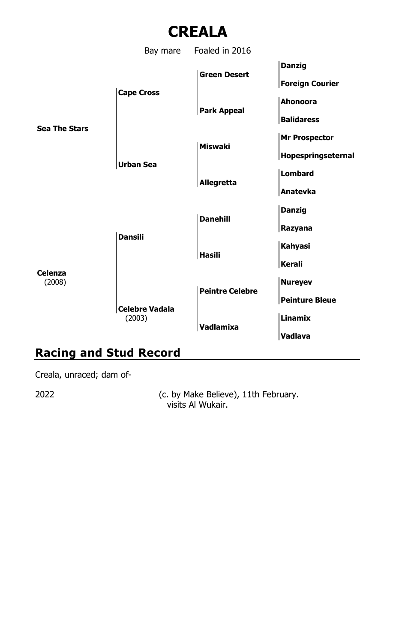

## **Racing and Stud Record**

Creala, unraced; dam of-

2022 (c. by Make Believe), 11th February. visits Al Wukair.